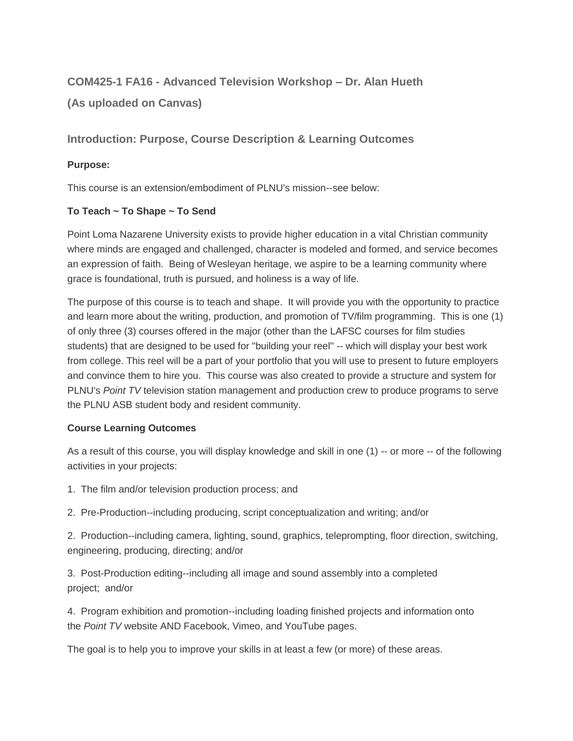# **COM425-1 FA16 - Advanced Television Workshop – Dr. Alan Hueth**

**(As uploaded on Canvas)**

# **Introduction: Purpose, Course Description & Learning Outcomes**

## **Purpose:**

This course is an extension/embodiment of PLNU's mission--see below:

## **To Teach ~ To Shape ~ To Send**

Point Loma Nazarene University exists to provide higher education in a vital Christian community where minds are engaged and challenged, character is modeled and formed, and service becomes an expression of faith. Being of Wesleyan heritage, we aspire to be a learning community where grace is foundational, truth is pursued, and holiness is a way of life.

The purpose of this course is to teach and shape. It will provide you with the opportunity to practice and learn more about the writing, production, and promotion of TV/film programming. This is one (1) of only three (3) courses offered in the major (other than the LAFSC courses for film studies students) that are designed to be used for "building your reel" -- which will display your best work from college. This reel will be a part of your portfolio that you will use to present to future employers and convince them to hire you. This course was also created to provide a structure and system for PLNU's *Point TV* television station management and production crew to produce programs to serve the PLNU ASB student body and resident community.

## **Course Learning Outcomes**

As a result of this course, you will display knowledge and skill in one (1) -- or more -- of the following activities in your projects:

1. The film and/or television production process; and

2. Pre-Production--including producing, script conceptualization and writing; and/or

2. Production--including camera, lighting, sound, graphics, teleprompting, floor direction, switching, engineering, producing, directing; and/or

3. Post-Production editing--including all image and sound assembly into a completed project; and/or

4. Program exhibition and promotion--including loading finished projects and information onto the *Point TV* website AND Facebook, Vimeo, and YouTube pages.

The goal is to help you to improve your skills in at least a few (or more) of these areas.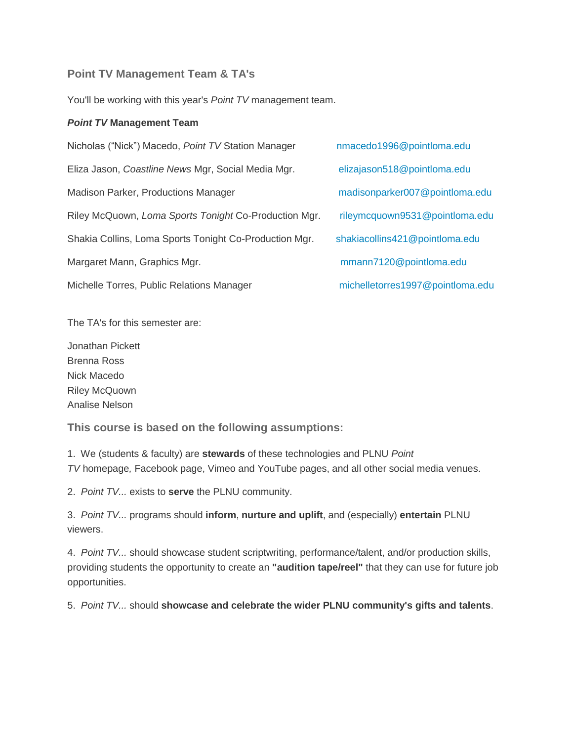## **Point TV Management Team & TA's**

You'll be working with this year's *Point TV* management team.

#### *Point TV* **Management Team**

| Nicholas ("Nick") Macedo, Point TV Station Manager     | nr |
|--------------------------------------------------------|----|
| Eliza Jason, Coastline News Mgr, Social Media Mgr.     | е  |
| Madison Parker, Productions Manager                    | m  |
| Riley McQuown, Loma Sports Tonight Co-Production Mgr.  | ri |
| Shakia Collins, Loma Sports Tonight Co-Production Mgr. | sł |
| Margaret Mann, Graphics Mgr.                           | n  |
| Michelle Torres, Public Relations Manager              | n  |

The TA's for this semester are:

Jonathan Pickett Brenna Ross Nick Macedo Riley McQuown Analise Nelson

**This course is based on the following assumptions:**

1. We (students & faculty) are **stewards** of these technologies and PLNU *Point TV* homepage*,* Facebook page, Vimeo and YouTube pages, and all other social media venues.

2. *Point TV...* exists to **serve** the PLNU community.

3. *Point TV...* programs should **inform**, **nurture and uplift**, and (especially) **entertain** PLNU viewers.

4. *Point TV...* should showcase student scriptwriting, performance/talent, and/or production skills, providing students the opportunity to create an **"audition tape/reel"** that they can use for future job opportunities.

5. *Point TV...* should **showcase and celebrate the wider PLNU community's gifts and talents**.

macedo1996@pointloma.edu Eliza Jason, *Coastline News* Mgr, Social Media Mgr. [elizajason518@pointloma.edu](mailto:elizajason518@pointloma.edu) nadison parker 007@pointloma.edu Riley McQuown, *Loma Sports Tonight* Co-Production Mgr. [rileymcquown9531@pointloma.edu](mailto:rileymcquown9531@pointloma.edu) hakia collins 421@pointloma.edu [mmann7120@pointloma.edu](mailto:mmann7120@pointloma.edu) [michelletorres1997@pointloma.edu](mailto:michelletorres1997@pointloma.edu)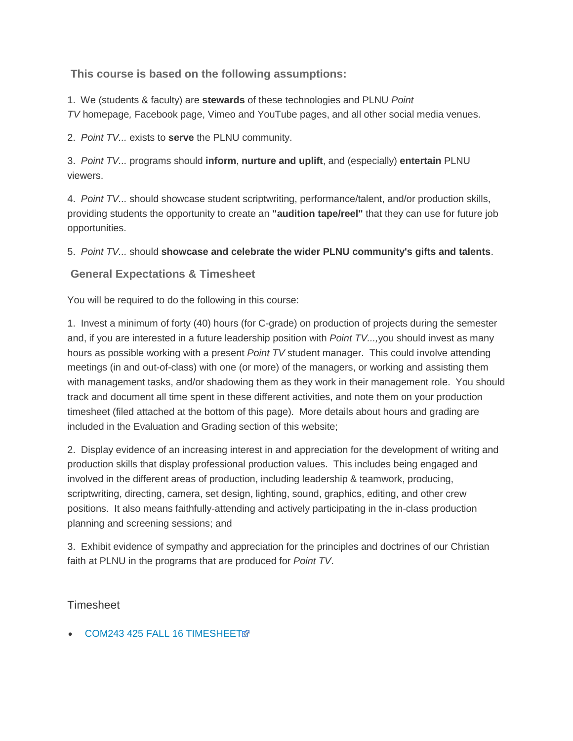**This course is based on the following assumptions:**

1. We (students & faculty) are **stewards** of these technologies and PLNU *Point TV* homepage*,* Facebook page, Vimeo and YouTube pages, and all other social media venues.

2. *Point TV...* exists to **serve** the PLNU community.

3. *Point TV...* programs should **inform**, **nurture and uplift**, and (especially) **entertain** PLNU viewers.

4. *Point TV...* should showcase student scriptwriting, performance/talent, and/or production skills, providing students the opportunity to create an **"audition tape/reel"** that they can use for future job opportunities.

5. *Point TV...* should **showcase and celebrate the wider PLNU community's gifts and talents**.

# **General Expectations & Timesheet**

You will be required to do the following in this course:

1. Invest a minimum of forty (40) hours (for C-grade) on production of projects during the semester and, if you are interested in a future leadership position with *Point TV...,*you should invest as many hours as possible working with a present *Point TV* student manager. This could involve attending meetings (in and out-of-class) with one (or more) of the managers, or working and assisting them with management tasks, and/or shadowing them as they work in their management role. You should track and document all time spent in these different activities, and note them on your production timesheet (filed attached at the bottom of this page). More details about hours and grading are included in the Evaluation and Grading section of this website;

2. Display evidence of an increasing interest in and appreciation for the development of writing and production skills that display professional production values. This includes being engaged and involved in the different areas of production, including leadership & teamwork, producing, scriptwriting, directing, camera, set design, lighting, sound, graphics, editing, and other crew positions. It also means faithfully-attending and actively participating in the in-class production planning and screening sessions; and

3. Exhibit evidence of sympathy and appreciation for the principles and doctrines of our Christian faith at PLNU in the programs that are produced for *Point TV*.

Timeshee[t](https://canvas.pointloma.edu/courses/29830/files/898194/download?wrap=1)

[COM243 425 FALL 16 TIMESHEET](https://canvas.pointloma.edu/courses/29830/files/931016/download)M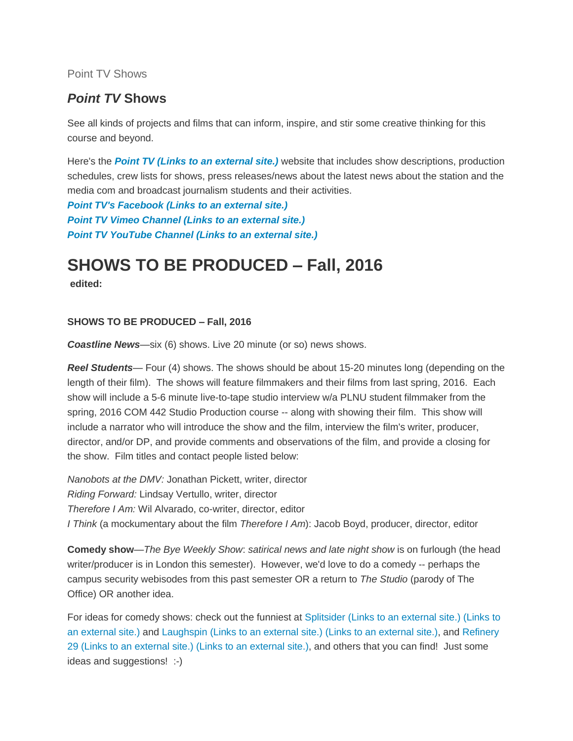## Point TV Shows

# *Point TV* **Shows**

See all kinds of projects and films that can inform, inspire, and stir some creative thinking for this course and beyond.

Here's the *[Point TV](http://pointtv23.com/com425and243/) (Links to an external site.)* website that includes show descriptions, production schedules, crew lists for shows, press releases/news about the latest news about the station and the media com and broadcast journalism students and their activities.

*[Point TV's Facebook](https://www.facebook.com/pages/Point-TV/447038881997027?ref=hl) (Links to an external site.) Point TV [Vimeo Channel](http://vimeo.com/channels/pointtv/52421676) (Links to an external site.) [Point TV YouTube Channel](https://www.youtube.com/channel/UCbSHEdR_GA73Wpay3g4OuBQ) (Links to an external site.)*

# **SHOWS TO BE PRODUCED – Fall, 2016**

**edited:**

## **SHOWS TO BE PRODUCED – Fall, 2016**

*Coastline News*—six (6) shows. Live 20 minute (or so) news shows.

*Reel Students*— Four (4) shows. The shows should be about 15-20 minutes long (depending on the length of their film). The shows will feature filmmakers and their films from last spring, 2016. Each show will include a 5-6 minute live-to-tape studio interview w/a PLNU student filmmaker from the spring, 2016 COM 442 Studio Production course -- along with showing their film. This show will include a narrator who will introduce the show and the film, interview the film's writer, producer, director, and/or DP, and provide comments and observations of the film, and provide a closing for the show. Film titles and contact people listed below:

*Nanobots at the DMV:* Jonathan Pickett, writer, director *Riding Forward:* Lindsay Vertullo, writer, director *Therefore I Am:* Wil Alvarado, co-writer, director, editor *I Think* (a mockumentary about the film *Therefore I Am*): Jacob Boyd, producer, director, editor

**Comedy show**—*The Bye Weekly Show*: *satirical news and late night show* is on furlough (the head writer/producer is in London this semester). However, we'd love to do a comedy -- perhaps the campus security webisodes from this past semester OR a return to *The Studio* (parody of The Office) OR another idea.

For ideas for comedy shows: check out the funniest at Splitsider [\(Links to an external site.\)](http://splitsider.com/2013/07/the-11-best-video-sketch-groups-on-the-internet/) (Links to an [external](http://splitsider.com/2013/07/the-11-best-video-sketch-groups-on-the-internet/) site.) and Laughspin [\(Links to an external site.\)](http://www.laughspin.com/2011/07/26/eleven-web-shows-that-should-be-television-shows/) (Links to an external site.), and [Refinery](http://www.refinery29.com/2014/04/66133/best-internet-series)  29 [\(Links to an external site.\)](http://www.refinery29.com/2014/04/66133/best-internet-series) (Links to an external site.), and others that you can find! Just some ideas and suggestions! :-)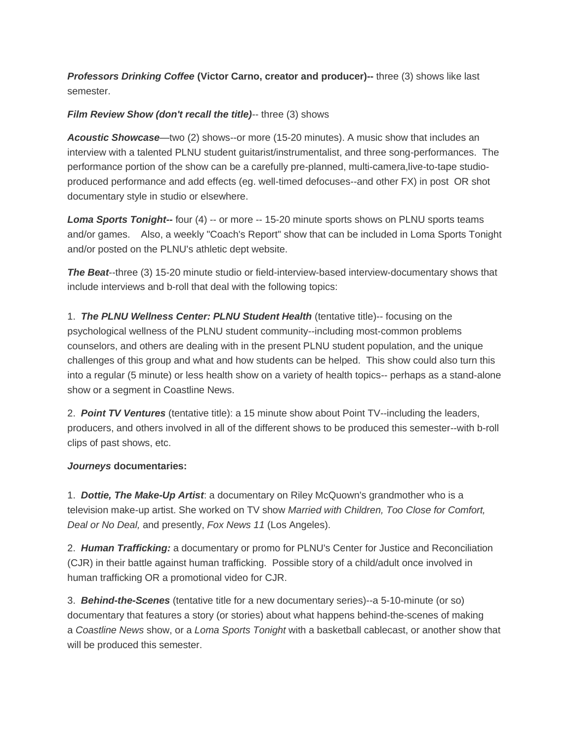*Professors Drinking Coffee* **(Victor Carno, creator and producer)--** three (3) shows like last semester.

#### *Film Review Show (don't recall the title)-- three (3) shows*

*Acoustic Showcase*—two (2) shows--or more (15-20 minutes). A music show that includes an interview with a talented PLNU student guitarist/instrumentalist, and three song-performances. The performance portion of the show can be a carefully pre-planned, multi-camera,live-to-tape studioproduced performance and add effects (eg. well-timed defocuses--and other FX) in post OR shot documentary style in studio or elsewhere.

**Loma Sports Tonight--** four (4) -- or more -- 15-20 minute sports shows on PLNU sports teams and/or games. Also, a weekly "Coach's Report" show that can be included in Loma Sports Tonight and/or posted on the PLNU's athletic dept website.

*The Beat*--three (3) 15-20 minute studio or field-interview-based interview-documentary shows that include interviews and b-roll that deal with the following topics:

1. *The PLNU Wellness Center: PLNU Student Health* (tentative title)-- focusing on the psychological wellness of the PLNU student community--including most-common problems counselors, and others are dealing with in the present PLNU student population, and the unique challenges of this group and what and how students can be helped. This show could also turn this into a regular (5 minute) or less health show on a variety of health topics-- perhaps as a stand-alone show or a segment in Coastline News.

2. *Point TV Ventures* (tentative title): a 15 minute show about Point TV--including the leaders, producers, and others involved in all of the different shows to be produced this semester--with b-roll clips of past shows, etc.

## *Journeys* **documentaries:**

1. *Dottie, The Make-Up Artist*: a documentary on Riley McQuown's grandmother who is a television make-up artist. She worked on TV show *Married with Children, Too Close for Comfort, Deal or No Deal,* and presently, *Fox News 11* (Los Angeles).

2. *Human Trafficking:* a documentary or promo for PLNU's Center for Justice and Reconciliation (CJR) in their battle against human trafficking. Possible story of a child/adult once involved in human trafficking OR a promotional video for CJR.

3. *Behind-the-Scenes* (tentative title for a new documentary series)--a 5-10-minute (or so) documentary that features a story (or stories) about what happens behind-the-scenes of making a *Coastline News* show, or a *Loma Sports Tonight* with a basketball cablecast, or another show that will be produced this semester.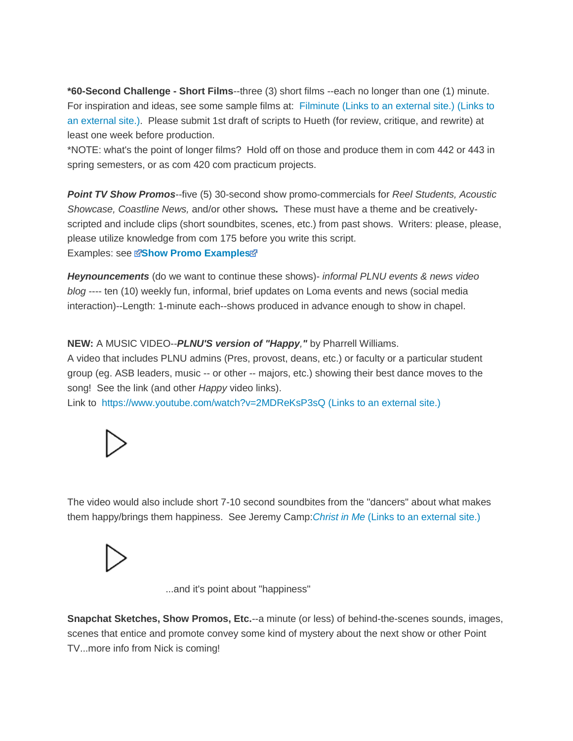**\*60-Second Challenge - Short Films**--three (3) short films --each no longer than one (1) minute. For inspiration and ideas, see some sample films at: Filminute [\(Links to an external site.\)](http://www.filminute.com/films/2014/tuck-me-in/) (Links to an [external](http://www.filminute.com/films/2014/tuck-me-in/) site.). Please submit 1st draft of scripts to Hueth (for review, critique, and rewrite) at least one week before production.

\*NOTE: what's the point of longer films? Hold off on those and produce them in com 442 or 443 in spring semesters, or as com 420 com practicum projects.

*Point TV Show Promos*--five (5) 30-second show promo-commercials for *Reel Students, Acoustic Showcase, Coastline News,* and/or other shows*.* These must have a theme and be creativelyscripted and include clips (short soundbites, scenes, etc.) from past shows. Writers: please, please, please utilize knowledge from com 175 before you write this script. Examples: se[e](https://canvas.pointloma.edu/courses/29830/files/898193/download?wrap=1) **[Show Promo Examples](https://canvas.pointloma.edu/courses/29830/files/898190/download?wrap=1)**

*Heynouncements* (do we want to continue these shows)- *informal PLNU events & news video blog* ---- ten (10) weekly fun, informal, brief updates on Loma events and news (social media interaction)--Length: 1-minute each--shows produced in advance enough to show in chapel.

#### **NEW:** A MUSIC VIDEO--*PLNU'S version of "Happy,"* by Pharrell Williams.

A video that includes PLNU admins (Pres, provost, deans, etc.) or faculty or a particular student group (eg. ASB leaders, music -- or other -- majors, etc.) showing their best dance moves to the song! See the link (and other *Happy* video links).

Link to <https://www.youtube.com/watch?v=2MDReKsP3sQ> (Links to an external site.)



The video would also include short 7-10 second soundbites from the "dancers" about what makes them happy/brings them happiness. See Jeremy Camp:*[Christ in Me](https://www.youtube.com/watch?v=b-1Wtrnt-rc&index=4&list=PLWvahZRxLnLMSWeULnub0CCeQzvxGM8hB)* (Links to an external site.)



...and it's point about "happiness"

**Snapchat Sketches, Show Promos, Etc.**--a minute (or less) of behind-the-scenes sounds, images, scenes that entice and promote convey some kind of mystery about the next show or other Point TV...more info from Nick is coming!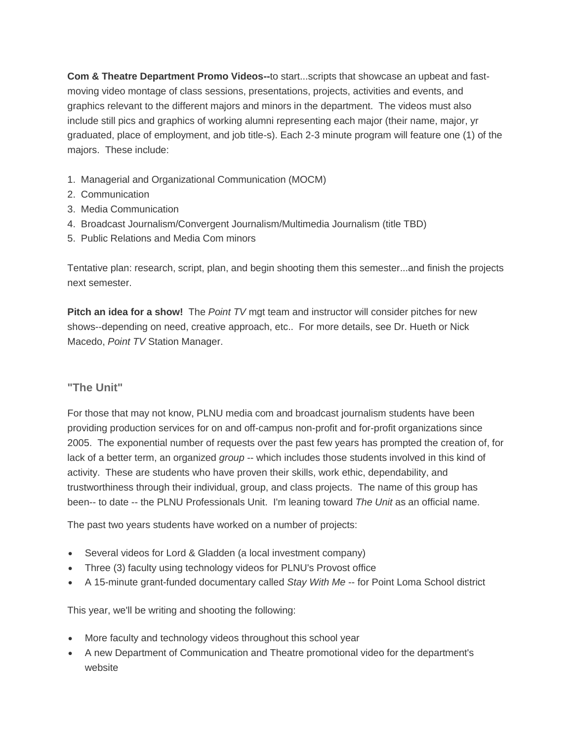**Com & Theatre Department Promo Videos--**to start...scripts that showcase an upbeat and fastmoving video montage of class sessions, presentations, projects, activities and events, and graphics relevant to the different majors and minors in the department. The videos must also include still pics and graphics of working alumni representing each major (their name, major, yr graduated, place of employment, and job title-s). Each 2-3 minute program will feature one (1) of the majors. These include:

- 1. Managerial and Organizational Communication (MOCM)
- 2. Communication
- 3. Media Communication
- 4. Broadcast Journalism/Convergent Journalism/Multimedia Journalism (title TBD)
- 5. Public Relations and Media Com minors

Tentative plan: research, script, plan, and begin shooting them this semester...and finish the projects next semester.

**Pitch an idea for a show!** The *Point TV* mgt team and instructor will consider pitches for new shows--depending on need, creative approach, etc.. For more details, see Dr. Hueth or Nick Macedo, *Point TV* Station Manager.

## **"The Unit"**

For those that may not know, PLNU media com and broadcast journalism students have been providing production services for on and off-campus non-profit and for-profit organizations since 2005. The exponential number of requests over the past few years has prompted the creation of, for lack of a better term, an organized *group* -- which includes those students involved in this kind of activity. These are students who have proven their skills, work ethic, dependability, and trustworthiness through their individual, group, and class projects. The name of this group has been-- to date -- the PLNU Professionals Unit. I'm leaning toward *The Unit* as an official name.

The past two years students have worked on a number of projects:

- Several videos for Lord & Gladden (a local investment company)
- Three (3) faculty using technology videos for PLNU's Provost office
- A 15-minute grant-funded documentary called *Stay With Me* -- for Point Loma School district

This year, we'll be writing and shooting the following:

- More faculty and technology videos throughout this school year
- A new Department of Communication and Theatre promotional video for the department's website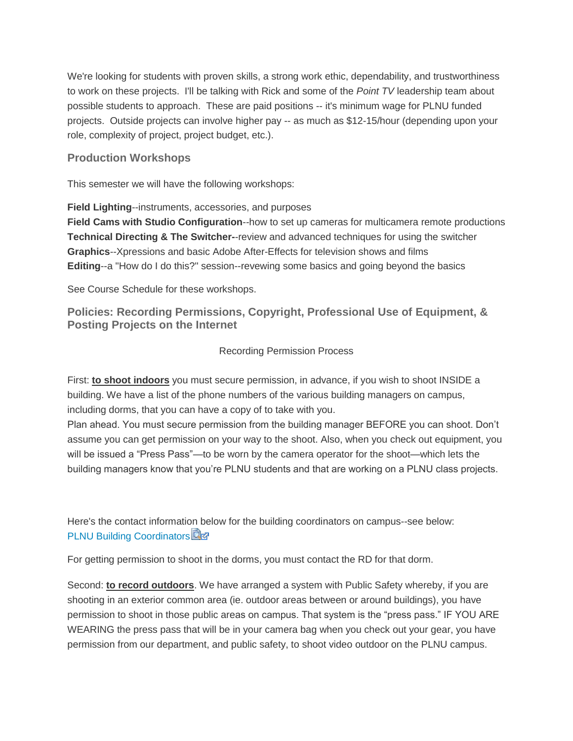We're looking for students with proven skills, a strong work ethic, dependability, and trustworthiness to work on these projects. I'll be talking with Rick and some of the *Point TV* leadership team about possible students to approach. These are paid positions -- it's minimum wage for PLNU funded projects. Outside projects can involve higher pay -- as much as \$12-15/hour (depending upon your role, complexity of project, project budget, etc.).

## **Production Workshops**

This semester we will have the following workshops:

**Field Lighting**--instruments, accessories, and purposes

**Field Cams with Studio Configuration**--how to set up cameras for multicamera remote productions **Technical Directing & The Switcher-**-review and advanced techniques for using the switcher **Graphics**--Xpressions and basic Adobe After-Effects for television shows and films **Editing**--a "How do I do this?" session--revewing some basics and going beyond the basics

See Course Schedule for these workshops.

**Policies: Recording Permissions, Copyright, Professional Use of Equipment, & Posting Projects on the Internet**

#### Recording Permission Process

First: **to shoot indoors** you must secure permission, in advance, if you wish to shoot INSIDE a building. We have a list of the phone numbers of the various building managers on campus, including dorms, that you can have a copy of to take with you.

Plan ahead. You must secure permission from the building manager BEFORE you can shoot. Don't assume you can get permission on your way to the shoot. Also, when you check out equipment, you will be issued a "Press Pass"—to be worn by the camera operator for the shoot—which lets the building managers know that you're PLNU students and that are working on a PLNU class projects.

Here's the contact information below for the building coordinators on campus--see below: **[PLNU Building Coordinators](https://canvas.pointloma.edu/courses/29830/files/898202/download?wrap=1)** 

For getting permission to shoot in the dorms, you must contact the RD for that dorm.

Second: **to record outdoors**. We have arranged a system with Public Safety whereby, if you are shooting in an exterior common area (ie. outdoor areas between or around buildings), you have permission to shoot in those public areas on campus. That system is the "press pass." IF YOU ARE WEARING the press pass that will be in your camera bag when you check out your gear, you have permission from our department, and public safety, to shoot video outdoor on the PLNU campus.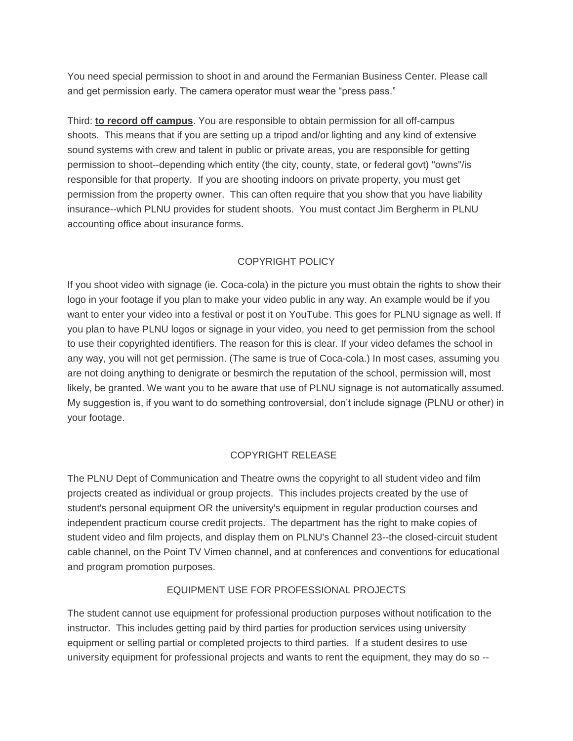You need special permission to shoot in and around the Fermanian Business Center. Please call and get permission early. The camera operator must wear the "press pass."

Third: **to record off campus**. You are responsible to obtain permission for all off-campus shoots. This means that if you are setting up a tripod and/or lighting and any kind of extensive sound systems with crew and talent in public or private areas, you are responsible for getting permission to shoot--depending which entity (the city, county, state, or federal govt) "owns"/is responsible for that property. If you are shooting indoors on private property, you must get permission from the property owner. This can often require that you show that you have liability insurance--which PLNU provides for student shoots. You must contact Jim Bergherm in PLNU accounting office about insurance forms.

## COPYRIGHT POLICY

If you shoot video with signage (ie. Coca-cola) in the picture you must obtain the rights to show their logo in your footage if you plan to make your video public in any way. An example would be if you want to enter your video into a festival or post it on YouTube. This goes for PLNU signage as well. If you plan to have PLNU logos or signage in your video, you need to get permission from the school to use their copyrighted identifiers. The reason for this is clear. If your video defames the school in any way, you will not get permission. (The same is true of Coca-cola.) In most cases, assuming you are not doing anything to denigrate or besmirch the reputation of the school, permission will, most likely, be granted. We want you to be aware that use of PLNU signage is not automatically assumed. My suggestion is, if you want to do something controversial, don't include signage (PLNU or other) in your footage.

#### COPYRIGHT RELEASE

The PLNU Dept of Communication and Theatre owns the copyright to all student video and film projects created as individual or group projects. This includes projects created by the use of student's personal equipment OR the university's equipment in regular production courses and independent practicum course credit projects. The department has the right to make copies of student video and film projects, and display them on PLNU's Channel 23--the closed-circuit student cable channel, on the Point TV Vimeo channel, and at conferences and conventions for educational and program promotion purposes.

#### EQUIPMENT USE FOR PROFESSIONAL PROJECTS

The student cannot use equipment for professional production purposes without notification to the instructor. This includes getting paid by third parties for production services using university equipment or selling partial or completed projects to third parties. If a student desires to use university equipment for professional projects and wants to rent the equipment, they may do so --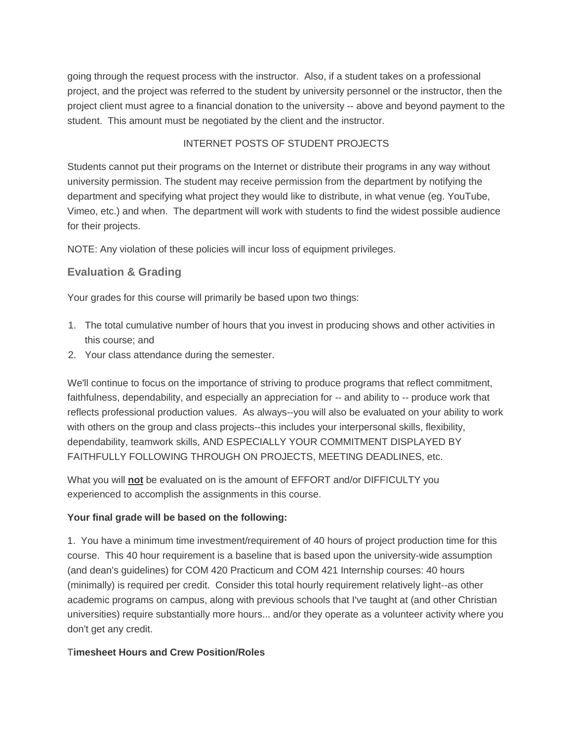going through the request process with the instructor. Also, if a student takes on a professional project, and the project was referred to the student by university personnel or the instructor, then the project client must agree to a financial donation to the university -- above and beyond payment to the student. This amount must be negotiated by the client and the instructor.

## INTERNET POSTS OF STUDENT PROJECTS

Students cannot put their programs on the Internet or distribute their programs in any way without university permission. The student may receive permission from the department by notifying the department and specifying what project they would like to distribute, in what venue (eg. YouTube, Vimeo, etc.) and when. The department will work with students to find the widest possible audience for their projects.

NOTE: Any violation of these policies will incur loss of equipment privileges.

# **Evaluation & Grading**

Your grades for this course will primarily be based upon two things:

- 1. The total cumulative number of hours that you invest in producing shows and other activities in this course; and
- 2. Your class attendance during the semester.

We'll continue to focus on the importance of striving to produce programs that reflect commitment, faithfulness, dependability, and especially an appreciation for -- and ability to -- produce work that reflects professional production values. As always--you will also be evaluated on your ability to work with others on the group and class projects--this includes your interpersonal skills, flexibility, dependability, teamwork skills, AND ESPECIALLY YOUR COMMITMENT DISPLAYED BY FAITHFULLY FOLLOWING THROUGH ON PROJECTS, MEETING DEADLINES, etc.

What you will **not** be evaluated on is the amount of EFFORT and/or DIFFICULTY you experienced to accomplish the assignments in this course.

## **Your final grade will be based on the following:**

1. You have a minimum time investment/requirement of 40 hours of project production time for this course. This 40 hour requirement is a baseline that is based upon the university-wide assumption (and dean's guidelines) for COM 420 Practicum and COM 421 Internship courses: 40 hours (minimally) is required per credit. Consider this total hourly requirement relatively light--as other academic programs on campus, along with previous schools that I've taught at (and other Christian universities) require substantially more hours... and/or they operate as a volunteer activity where you don't get any credit.

## T**imesheet Hours and Crew Position/Roles**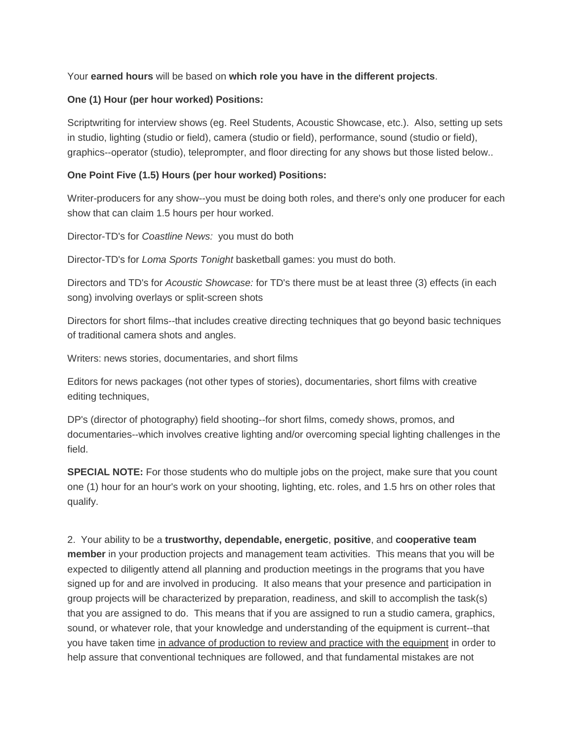## Your **earned hours** will be based on **which role you have in the different projects**.

#### **One (1) Hour (per hour worked) Positions:**

Scriptwriting for interview shows (eg. Reel Students, Acoustic Showcase, etc.). Also, setting up sets in studio, lighting (studio or field), camera (studio or field), performance, sound (studio or field), graphics--operator (studio), teleprompter, and floor directing for any shows but those listed below..

## **One Point Five (1.5) Hours (per hour worked) Positions:**

Writer-producers for any show--you must be doing both roles, and there's only one producer for each show that can claim 1.5 hours per hour worked.

Director-TD's for *Coastline News:* you must do both

Director-TD's for *Loma Sports Tonight* basketball games: you must do both.

Directors and TD's for *Acoustic Showcase:* for TD's there must be at least three (3) effects (in each song) involving overlays or split-screen shots

Directors for short films--that includes creative directing techniques that go beyond basic techniques of traditional camera shots and angles.

Writers: news stories, documentaries, and short films

Editors for news packages (not other types of stories), documentaries, short films with creative editing techniques,

DP's (director of photography) field shooting--for short films, comedy shows, promos, and documentaries--which involves creative lighting and/or overcoming special lighting challenges in the field.

**SPECIAL NOTE:** For those students who do multiple jobs on the project, make sure that you count one (1) hour for an hour's work on your shooting, lighting, etc. roles, and 1.5 hrs on other roles that qualify.

2. Your ability to be a **trustworthy, dependable, energetic**, **positive**, and **cooperative team member** in your production projects and management team activities. This means that you will be expected to diligently attend all planning and production meetings in the programs that you have signed up for and are involved in producing. It also means that your presence and participation in group projects will be characterized by preparation, readiness, and skill to accomplish the task(s) that you are assigned to do. This means that if you are assigned to run a studio camera, graphics, sound, or whatever role, that your knowledge and understanding of the equipment is current--that you have taken time in advance of production to review and practice with the equipment in order to help assure that conventional techniques are followed, and that fundamental mistakes are not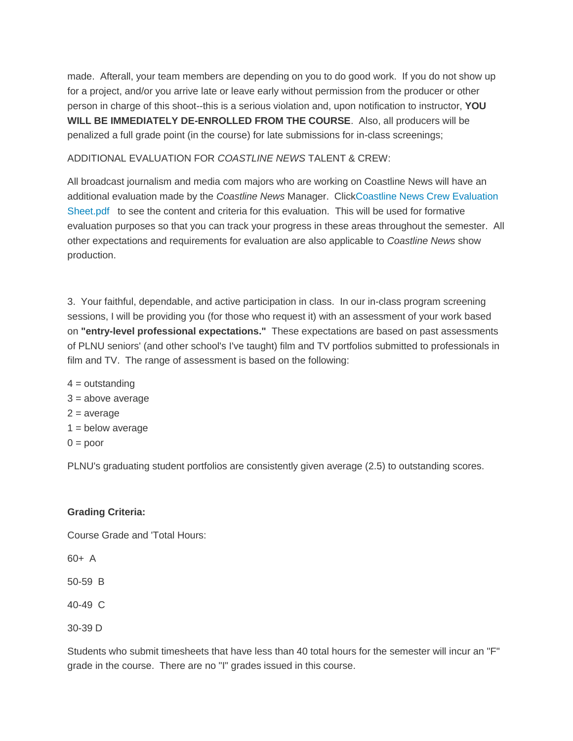made. Afterall, your team members are depending on you to do good work. If you do not show up for a project, and/or you arrive late or leave early without permission from the producer or other person in charge of this shoot--this is a serious violation and, upon notification to instructor, **YOU WILL BE IMMEDIATELY DE-ENROLLED FROM THE COURSE**. Also, all producers will be penalized a full grade point (in the course) for late submissions for in-class screenings;

#### ADDITIONAL EVALUATION FOR *COASTLINE NEWS* TALENT & CREW:

All broadcast journalism and media com majors who are working on Coastline News will have an additional evaluation made by the *Coastline News* Manager. Clic[kCoastline News Crew](https://canvas.pointloma.edu/courses/29830/files/898197/preview) Evaluation [Sheet.pdf](https://canvas.pointloma.edu/courses/29830/files/898197/preview) to see the content and criteria for this evaluation. This will be used for formative evaluation purposes so that you can track your progress in these areas throughout the semester. All other expectations and requirements for evaluation are also applicable to *Coastline News* show production.

3. Your faithful, dependable, and active participation in class. In our in-class program screening sessions, I will be providing you (for those who request it) with an assessment of your work based on **"entry-level professional expectations."** These expectations are based on past assessments of PLNU seniors' (and other school's I've taught) film and TV portfolios submitted to professionals in film and TV. The range of assessment is based on the following:

 $4 =$  outstanding  $3 = above average$  $2 = average$  $1 =$  below average  $0 =$  poor

PLNU's graduating student portfolios are consistently given average (2.5) to outstanding scores.

## **Grading Criteria:**

Course Grade and 'Total Hours:

60+ A

50-59 B

40-49 C

30-39 D

Students who submit timesheets that have less than 40 total hours for the semester will incur an "F" grade in the course. There are no "I" grades issued in this course.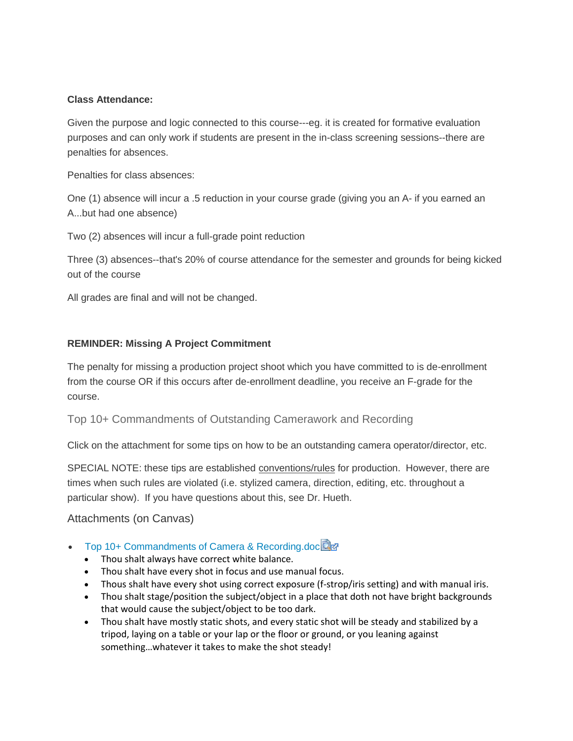#### **Class Attendance:**

Given the purpose and logic connected to this course---eg. it is created for formative evaluation purposes and can only work if students are present in the in-class screening sessions--there are penalties for absences.

Penalties for class absences:

One (1) absence will incur a .5 reduction in your course grade (giving you an A- if you earned an A...but had one absence)

Two (2) absences will incur a full-grade point reduction

Three (3) absences--that's 20% of course attendance for the semester and grounds for being kicked out of the course

All grades are final and will not be changed.

#### **REMINDER: Missing A Project Commitment**

The penalty for missing a production project shoot which you have committed to is de-enrollment from the course OR if this occurs after de-enrollment deadline, you receive an F-grade for the course.

Top 10+ Commandments of Outstanding Camerawork and Recording

Click on the attachment for some tips on how to be an outstanding camera operator/director, etc.

SPECIAL NOTE: these tips are established conventions/rules for production. However, there are times when such rules are violated (i.e. stylized camera, direction, editing, etc. throughout a particular show). If you have questions about this, see Dr. Hueth.

## Attachments (on Canvas)

- [Top 10+ Commandments of Camera & Recording.doc](https://canvas.pointloma.edu/courses/29830/files/898201/download?wrap=1)
	- Thou shalt always have correct white balance.
	- Thou shalt have every shot in focus and use manual focus.
	- Thous shalt have every shot using correct exposure (f-strop/iris setting) and with manual iris.
	- Thou shalt stage/position the subject/object in a place that doth not have bright backgrounds that would cause the subject/object to be too dark.
	- Thou shalt have mostly static shots, and every static shot will be steady and stabilized by a tripod, laying on a table or your lap or the floor or ground, or you leaning against something…whatever it takes to make the shot steady!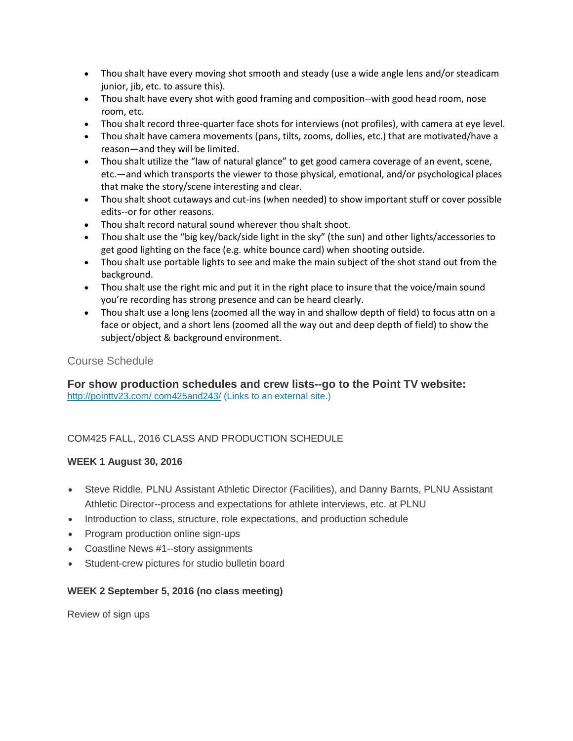- Thou shalt have every moving shot smooth and steady (use a wide angle lens and/or steadicam junior, jib, etc. to assure this).
- Thou shalt have every shot with good framing and composition--with good head room, nose room, etc.
- Thou shalt record three-quarter face shots for interviews (not profiles), with camera at eye level.
- Thou shalt have camera movements (pans, tilts, zooms, dollies, etc.) that are motivated/have a reason—and they will be limited.
- Thou shalt utilize the "law of natural glance" to get good camera coverage of an event, scene, etc.—and which transports the viewer to those physical, emotional, and/or psychological places that make the story/scene interesting and clear.
- Thou shalt shoot cutaways and cut-ins (when needed) to show important stuff or cover possible edits--or for other reasons.
- Thou shalt record natural sound wherever thou shalt shoot.
- Thou shalt use the "big key/back/side light in the sky" (the sun) and other lights/accessories to get good lighting on the face (e.g. white bounce card) when shooting outside.
- Thou shalt use portable lights to see and make the main subject of the shot stand out from the background.
- Thou shalt use the right mic and put it in the right place to insure that the voice/main sound you're recording has strong presence and can be heard clearly.
- Thou shalt use a long lens (zoomed all the way in and shallow depth of field) to focus attn on a face or object, and a short lens (zoomed all the way out and deep depth of field) to show the subject/object & background environment.

## Course Schedule

**For show production schedules and crew lists--go to the Point TV website:** [http://pointtv23.com/ com425and243/](http://pointtv23.com/com425and243/) (Links to an external site.)

## COM425 FALL, 2016 CLASS AND PRODUCTION SCHEDULE

## **WEEK 1 August 30, 2016**

- Steve Riddle, PLNU Assistant Athletic Director (Facilities), and Danny Barnts, PLNU Assistant Athletic Director--process and expectations for athlete interviews, etc. at PLNU
- Introduction to class, structure, role expectations, and production schedule
- Program production online sign-ups
- Coastline News #1--story assignments
- Student-crew pictures for studio bulletin board

## **WEEK 2 September 5, 2016 (no class meeting)**

Review of sign ups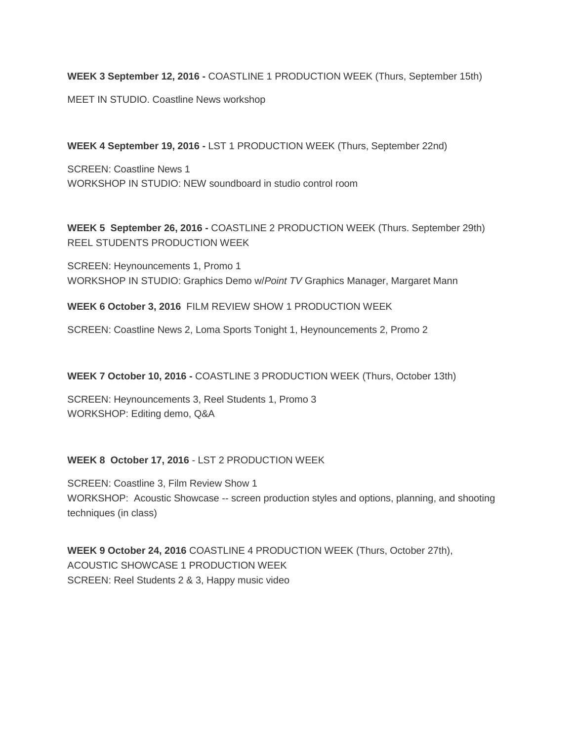**WEEK 3 September 12, 2016 -** COASTLINE 1 PRODUCTION WEEK (Thurs, September 15th)

MEET IN STUDIO. Coastline News workshop

**WEEK 4 September 19, 2016 -** LST 1 PRODUCTION WEEK (Thurs, September 22nd)

SCREEN: Coastline News 1 WORKSHOP IN STUDIO: NEW soundboard in studio control room

**WEEK 5 September 26, 2016 -** COASTLINE 2 PRODUCTION WEEK (Thurs. September 29th) REEL STUDENTS PRODUCTION WEEK

SCREEN: Heynouncements 1, Promo 1 WORKSHOP IN STUDIO: Graphics Demo w/*Point TV* Graphics Manager, Margaret Mann

**WEEK 6 October 3, 2016** FILM REVIEW SHOW 1 PRODUCTION WEEK

SCREEN: Coastline News 2, Loma Sports Tonight 1, Heynouncements 2, Promo 2

**WEEK 7 October 10, 2016 -** COASTLINE 3 PRODUCTION WEEK (Thurs, October 13th)

SCREEN: Heynouncements 3, Reel Students 1, Promo 3 WORKSHOP: Editing demo, Q&A

## **WEEK 8 October 17, 2016** - LST 2 PRODUCTION WEEK

SCREEN: Coastline 3, Film Review Show 1 WORKSHOP: Acoustic Showcase -- screen production styles and options, planning, and shooting techniques (in class)

**WEEK 9 October 24, 2016** COASTLINE 4 PRODUCTION WEEK (Thurs, October 27th), ACOUSTIC SHOWCASE 1 PRODUCTION WEEK SCREEN: Reel Students 2 & 3, Happy music video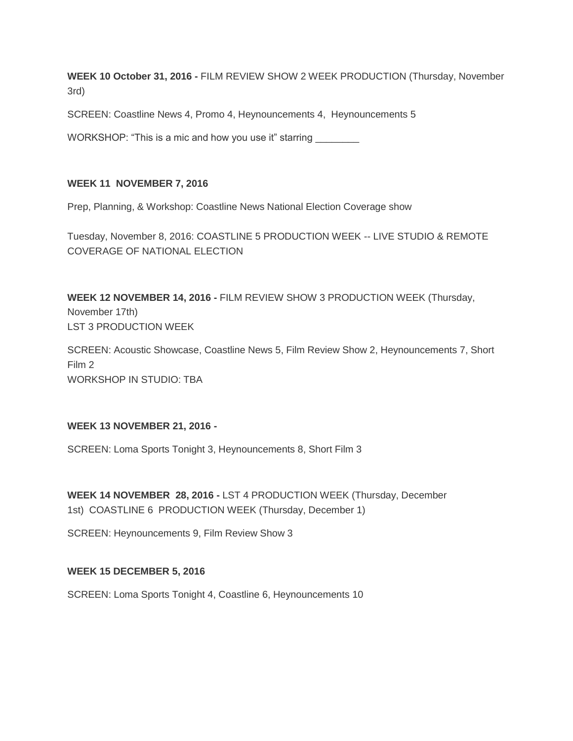**WEEK 10 October 31, 2016 -** FILM REVIEW SHOW 2 WEEK PRODUCTION (Thursday, November 3rd)

SCREEN: Coastline News 4, Promo 4, Heynouncements 4, Heynouncements 5

WORKSHOP: "This is a mic and how you use it" starring \_\_\_\_\_\_\_\_\_\_\_\_\_\_\_\_\_\_\_\_\_\_\_\_\_\_

#### **WEEK 11 NOVEMBER 7, 2016**

Prep, Planning, & Workshop: Coastline News National Election Coverage show

Tuesday, November 8, 2016: COASTLINE 5 PRODUCTION WEEK -- LIVE STUDIO & REMOTE COVERAGE OF NATIONAL ELECTION

**WEEK 12 NOVEMBER 14, 2016 -** FILM REVIEW SHOW 3 PRODUCTION WEEK (Thursday, November 17th) LST 3 PRODUCTION WEEK

SCREEN: Acoustic Showcase, Coastline News 5, Film Review Show 2, Heynouncements 7, Short Film 2 WORKSHOP IN STUDIO: TBA

#### **WEEK 13 NOVEMBER 21, 2016 -**

SCREEN: Loma Sports Tonight 3, Heynouncements 8, Short Film 3

**WEEK 14 NOVEMBER 28, 2016 -** LST 4 PRODUCTION WEEK (Thursday, December 1st) COASTLINE 6 PRODUCTION WEEK (Thursday, December 1)

SCREEN: Heynouncements 9, Film Review Show 3

#### **WEEK 15 DECEMBER 5, 2016**

SCREEN: Loma Sports Tonight 4, Coastline 6, Heynouncements 10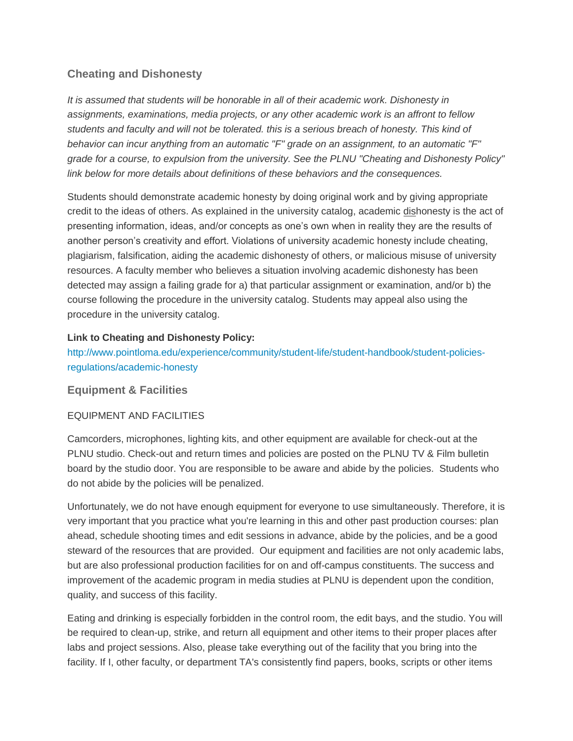# **Cheating and Dishonesty**

*It is assumed that students will be honorable in all of their academic work. Dishonesty in assignments, examinations, media projects, or any other academic work is an affront to fellow students and faculty and will not be tolerated. this is a serious breach of honesty. This kind of behavior can incur anything from an automatic "F" grade on an assignment, to an automatic "F" grade for a course, to expulsion from the university. See the PLNU "Cheating and Dishonesty Policy" link below for more details about definitions of these behaviors and the consequences.*

Students should demonstrate academic honesty by doing original work and by giving appropriate credit to the ideas of others. As explained in the university catalog, academic dishonesty is the act of presenting information, ideas, and/or concepts as one's own when in reality they are the results of another person's creativity and effort. Violations of university academic honesty include cheating, plagiarism, falsification, aiding the academic dishonesty of others, or malicious misuse of university resources. A faculty member who believes a situation involving academic dishonesty has been detected may assign a failing grade for a) that particular assignment or examination, and/or b) the course following the procedure in the university catalog. Students may appeal also using the procedure in the university catalog.

## **Link to Cheating and Dishonesty Policy:**

[http://www.pointloma.edu/experience/community/student-life/student-handbook/student-policies](http://www.pointloma.edu/experience/community/student-life/student-handbook/student-policies-regulations/academic-honesty)[regulations/academic-honesty](http://www.pointloma.edu/experience/community/student-life/student-handbook/student-policies-regulations/academic-honesty)

## **Equipment & Facilities**

## EQUIPMENT AND FACILITIES

Camcorders, microphones, lighting kits, and other equipment are available for check-out at the PLNU studio. Check-out and return times and policies are posted on the PLNU TV & Film bulletin board by the studio door. You are responsible to be aware and abide by the policies. Students who do not abide by the policies will be penalized.

Unfortunately, we do not have enough equipment for everyone to use simultaneously. Therefore, it is very important that you practice what you're learning in this and other past production courses: plan ahead, schedule shooting times and edit sessions in advance, abide by the policies, and be a good steward of the resources that are provided. Our equipment and facilities are not only academic labs, but are also professional production facilities for on and off-campus constituents. The success and improvement of the academic program in media studies at PLNU is dependent upon the condition, quality, and success of this facility.

Eating and drinking is especially forbidden in the control room, the edit bays, and the studio. You will be required to clean-up, strike, and return all equipment and other items to their proper places after labs and project sessions. Also, please take everything out of the facility that you bring into the facility. If I, other faculty, or department TA's consistently find papers, books, scripts or other items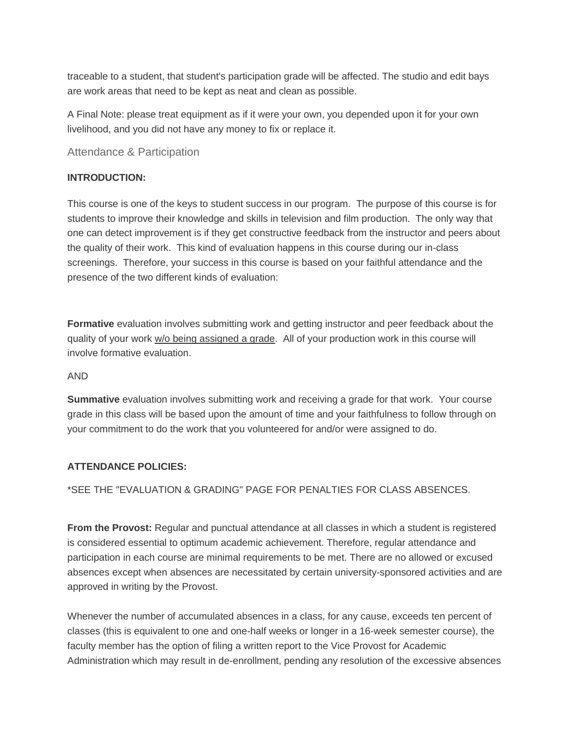traceable to a student, that student's participation grade will be affected. The studio and edit bays are work areas that need to be kept as neat and clean as possible.

A Final Note: please treat equipment as if it were your own, you depended upon it for your own livelihood, and you did not have any money to fix or replace it.

Attendance & Participation

#### **INTRODUCTION:**

This course is one of the keys to student success in our program. The purpose of this course is for students to improve their knowledge and skills in television and film production. The only way that one can detect improvement is if they get constructive feedback from the instructor and peers about the quality of their work. This kind of evaluation happens in this course during our in-class screenings. Therefore, your success in this course is based on your faithful attendance and the presence of the two different kinds of evaluation:

**Formative** evaluation involves submitting work and getting instructor and peer feedback about the quality of your work w/o being assigned a grade. All of your production work in this course will involve formative evaluation.

#### AND

**Summative** evaluation involves submitting work and receiving a grade for that work. Your course grade in this class will be based upon the amount of time and your faithfulness to follow through on your commitment to do the work that you volunteered for and/or were assigned to do.

#### **ATTENDANCE POLICIES:**

#### \*SEE THE "EVALUATION & GRADING" PAGE FOR PENALTIES FOR CLASS ABSENCES.

**From the Provost:** Regular and punctual attendance at all classes in which a student is registered is considered essential to optimum academic achievement. Therefore, regular attendance and participation in each course are minimal requirements to be met. There are no allowed or excused absences except when absences are necessitated by certain university-sponsored activities and are approved in writing by the Provost.

Whenever the number of accumulated absences in a class, for any cause, exceeds ten percent of classes (this is equivalent to one and one-half weeks or longer in a 16-week semester course), the faculty member has the option of filing a written report to the Vice Provost for Academic Administration which may result in de-enrollment, pending any resolution of the excessive absences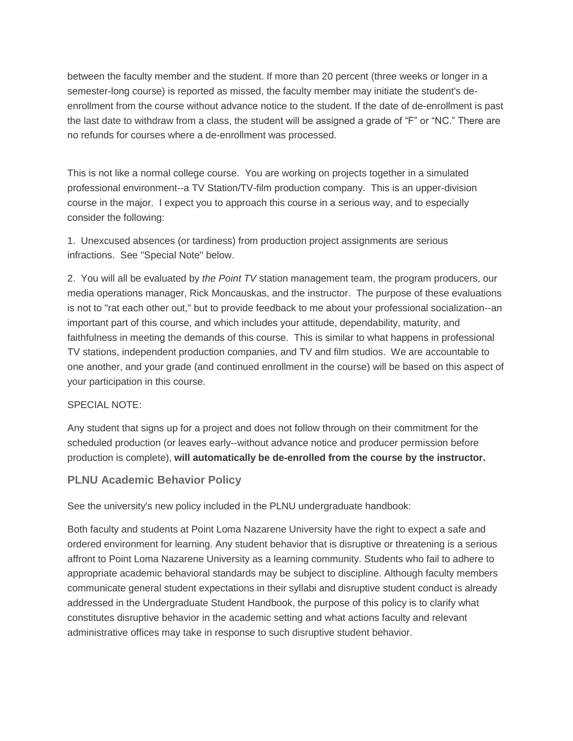between the faculty member and the student. If more than 20 percent (three weeks or longer in a semester-long course) is reported as missed, the faculty member may initiate the student's deenrollment from the course without advance notice to the student. If the date of de-enrollment is past the last date to withdraw from a class, the student will be assigned a grade of "F" or "NC." There are no refunds for courses where a de-enrollment was processed.

This is not like a normal college course. You are working on projects together in a simulated professional environment--a TV Station/TV-film production company. This is an upper-division course in the major. I expect you to approach this course in a serious way, and to especially consider the following:

1. Unexcused absences (or tardiness) from production project assignments are serious infractions. See "Special Note" below.

2. You will all be evaluated by *the Point TV* station management team, the program producers, our media operations manager, Rick Moncauskas, and the instructor. The purpose of these evaluations is not to "rat each other out," but to provide feedback to me about your professional socialization--an important part of this course, and which includes your attitude, dependability, maturity, and faithfulness in meeting the demands of this course. This is similar to what happens in professional TV stations, independent production companies, and TV and film studios. We are accountable to one another, and your grade (and continued enrollment in the course) will be based on this aspect of your participation in this course.

#### SPECIAL NOTE:

Any student that signs up for a project and does not follow through on their commitment for the scheduled production (or leaves early--without advance notice and producer permission before production is complete), **will automatically be de-enrolled from the course by the instructor.**

## **PLNU Academic Behavior Policy**

See the university's new policy included in the PLNU undergraduate handbook:

Both faculty and students at Point Loma Nazarene University have the right to expect a safe and ordered environment for learning. Any student behavior that is disruptive or threatening is a serious affront to Point Loma Nazarene University as a learning community. Students who fail to adhere to appropriate academic behavioral standards may be subject to discipline. Although faculty members communicate general student expectations in their syllabi and disruptive student conduct is already addressed in the Undergraduate Student Handbook, the purpose of this policy is to clarify what constitutes disruptive behavior in the academic setting and what actions faculty and relevant administrative offices may take in response to such disruptive student behavior.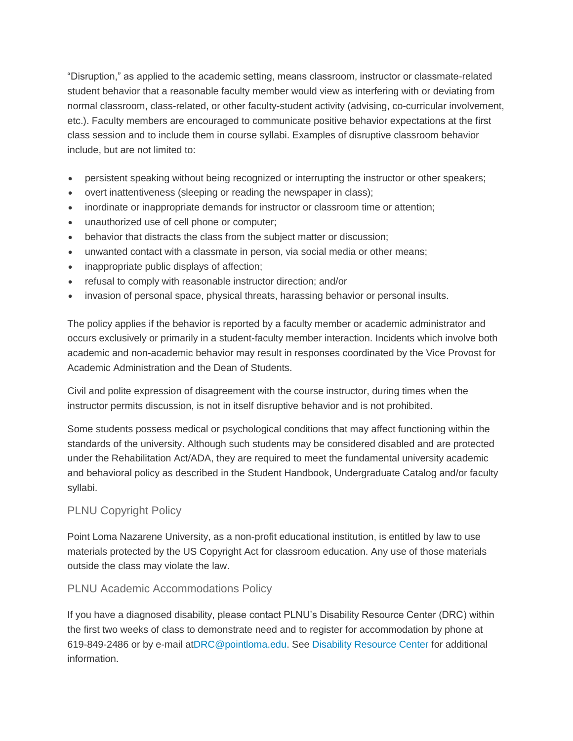"Disruption," as applied to the academic setting, means classroom, instructor or classmate-related student behavior that a reasonable faculty member would view as interfering with or deviating from normal classroom, class-related, or other faculty-student activity (advising, co-curricular involvement, etc.). Faculty members are encouraged to communicate positive behavior expectations at the first class session and to include them in course syllabi. Examples of disruptive classroom behavior include, but are not limited to:

- persistent speaking without being recognized or interrupting the instructor or other speakers;
- overt inattentiveness (sleeping or reading the newspaper in class);
- inordinate or inappropriate demands for instructor or classroom time or attention;
- unauthorized use of cell phone or computer;
- behavior that distracts the class from the subject matter or discussion;
- unwanted contact with a classmate in person, via social media or other means;
- inappropriate public displays of affection;
- refusal to comply with reasonable instructor direction; and/or
- invasion of personal space, physical threats, harassing behavior or personal insults.

The policy applies if the behavior is reported by a faculty member or academic administrator and occurs exclusively or primarily in a student-faculty member interaction. Incidents which involve both academic and non-academic behavior may result in responses coordinated by the Vice Provost for Academic Administration and the Dean of Students.

Civil and polite expression of disagreement with the course instructor, during times when the instructor permits discussion, is not in itself disruptive behavior and is not prohibited.

Some students possess medical or psychological conditions that may affect functioning within the standards of the university. Although such students may be considered disabled and are protected under the Rehabilitation Act/ADA, they are required to meet the fundamental university academic and behavioral policy as described in the Student Handbook, Undergraduate Catalog and/or faculty syllabi.

## PLNU Copyright Policy

Point Loma Nazarene University, as a non-profit educational institution, is entitled by law to use materials protected by the US Copyright Act for classroom education. Any use of those materials outside the class may violate the law.

## PLNU Academic Accommodations Policy

If you have a diagnosed disability, please contact PLNU's Disability Resource Center (DRC) within the first two weeks of class to demonstrate need and to register for accommodation by phone at 619-849-2486 or by e-mail a[tDRC@pointloma.edu.](mailto:DRC@pointloma.edu) See [Disability Resource Center](http://www.pointloma.edu/experience/offices/administrative-offices/academic-advising-office/disability-resource-center) for additional information.